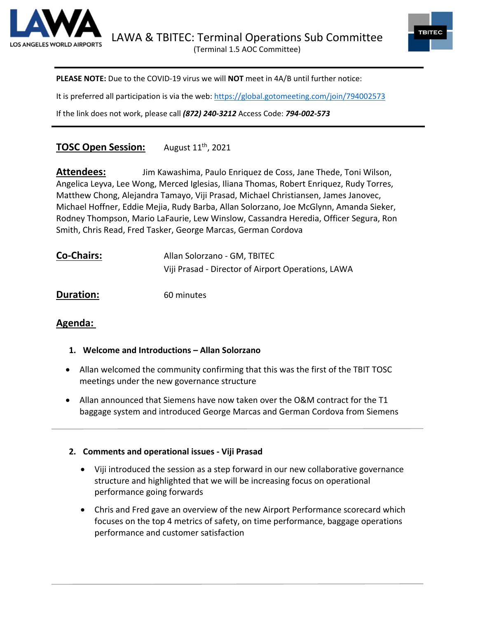



**PLEASE NOTE:** Due to the COVID-19 virus we will **NOT** meet in 4A/B until further notice:

It is preferred all participation is via the web:<https://global.gotomeeting.com/join/794002573>

If the link does not work, please call *(872) 240-3212* Access Code: *794-002-573*

# **TOSC Open Session:** August 11th, 2021

**Attendees:** Jim Kawashima, Paulo Enriquez de Coss, Jane Thede, Toni Wilson, Angelica Leyva, Lee Wong, Merced Iglesias, Iliana Thomas, Robert Enriquez, Rudy Torres, Matthew Chong, Alejandra Tamayo, Viji Prasad, Michael Christiansen, James Janovec, Michael Hoffner, Eddie Mejia, Rudy Barba, Allan Solorzano, Joe McGlynn, Amanda Sieker, Rodney Thompson, Mario LaFaurie, Lew Winslow, Cassandra Heredia, Officer Segura, Ron Smith, Chris Read, Fred Tasker, George Marcas, German Cordova

| <b>Co-Chairs:</b> | Allan Solorzano - GM, TBITEC                       |
|-------------------|----------------------------------------------------|
|                   | Viji Prasad - Director of Airport Operations, LAWA |

**Duration:** 60 minutes

# **Agenda:**

- **1. Welcome and Introductions – Allan Solorzano**
- Allan welcomed the community confirming that this was the first of the TBIT TOSC meetings under the new governance structure
- Allan announced that Siemens have now taken over the O&M contract for the T1 baggage system and introduced George Marcas and German Cordova from Siemens

#### **2. Comments and operational issues - Viji Prasad**

- Viji introduced the session as a step forward in our new collaborative governance structure and highlighted that we will be increasing focus on operational performance going forwards
- Chris and Fred gave an overview of the new Airport Performance scorecard which focuses on the top 4 metrics of safety, on time performance, baggage operations performance and customer satisfaction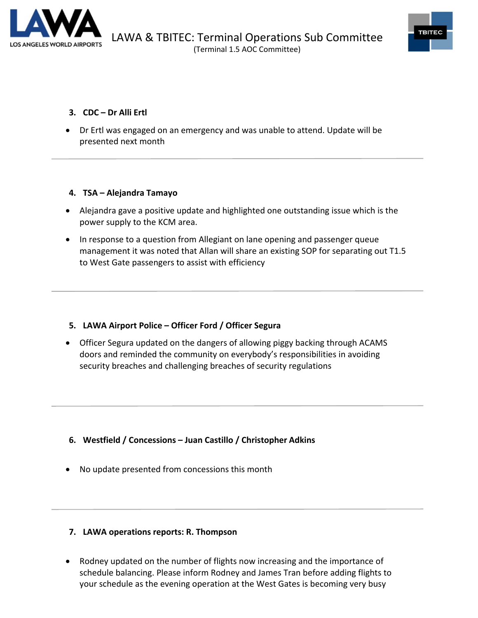



#### **3. CDC – Dr Alli Ertl**

• Dr Ertl was engaged on an emergency and was unable to attend. Update will be presented next month

#### **4. TSA – Alejandra Tamayo**

- Alejandra gave a positive update and highlighted one outstanding issue which is the power supply to the KCM area.
- In response to a question from Allegiant on lane opening and passenger queue management it was noted that Allan will share an existing SOP for separating out T1.5 to West Gate passengers to assist with efficiency

# **5. LAWA Airport Police – Officer Ford / Officer Segura**

• Officer Segura updated on the dangers of allowing piggy backing through ACAMS doors and reminded the community on everybody's responsibilities in avoiding security breaches and challenging breaches of security regulations

- **6. Westfield / Concessions – Juan Castillo / Christopher Adkins**
- No update presented from concessions this month

# **7. LAWA operations reports: R. Thompson**

• Rodney updated on the number of flights now increasing and the importance of schedule balancing. Please inform Rodney and James Tran before adding flights to your schedule as the evening operation at the West Gates is becoming very busy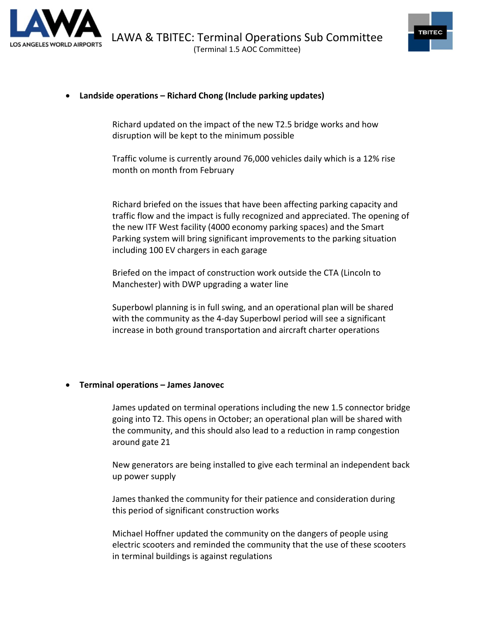



#### • **Landside operations – Richard Chong (Include parking updates)**

Richard updated on the impact of the new T2.5 bridge works and how disruption will be kept to the minimum possible

Traffic volume is currently around 76,000 vehicles daily which is a 12% rise month on month from February

Richard briefed on the issues that have been affecting parking capacity and traffic flow and the impact is fully recognized and appreciated. The opening of the new ITF West facility (4000 economy parking spaces) and the Smart Parking system will bring significant improvements to the parking situation including 100 EV chargers in each garage

Briefed on the impact of construction work outside the CTA (Lincoln to Manchester) with DWP upgrading a water line

Superbowl planning is in full swing, and an operational plan will be shared with the community as the 4-day Superbowl period will see a significant increase in both ground transportation and aircraft charter operations

#### • **Terminal operations – James Janovec**

James updated on terminal operations including the new 1.5 connector bridge going into T2. This opens in October; an operational plan will be shared with the community, and this should also lead to a reduction in ramp congestion around gate 21

New generators are being installed to give each terminal an independent back up power supply

James thanked the community for their patience and consideration during this period of significant construction works

Michael Hoffner updated the community on the dangers of people using electric scooters and reminded the community that the use of these scooters in terminal buildings is against regulations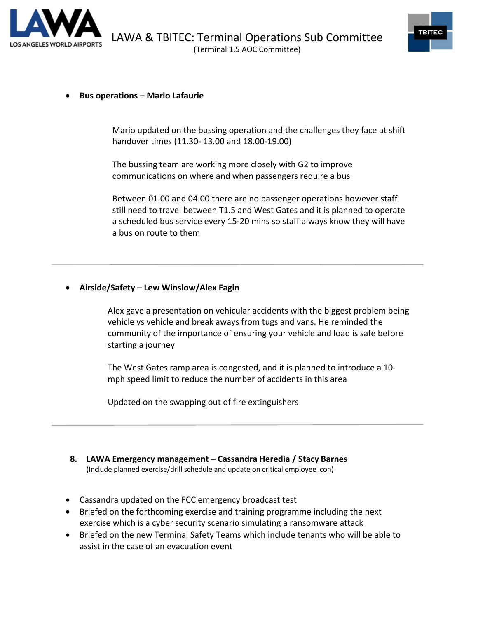



#### • **Bus operations – Mario Lafaurie**

Mario updated on the bussing operation and the challenges they face at shift handover times (11.30- 13.00 and 18.00-19.00)

The bussing team are working more closely with G2 to improve communications on where and when passengers require a bus

Between 01.00 and 04.00 there are no passenger operations however staff still need to travel between T1.5 and West Gates and it is planned to operate a scheduled bus service every 15-20 mins so staff always know they will have a bus on route to them

#### • **Airside/Safety – Lew Winslow/Alex Fagin**

Alex gave a presentation on vehicular accidents with the biggest problem being vehicle vs vehicle and break aways from tugs and vans. He reminded the community of the importance of ensuring your vehicle and load is safe before starting a journey

The West Gates ramp area is congested, and it is planned to introduce a 10 mph speed limit to reduce the number of accidents in this area

Updated on the swapping out of fire extinguishers

# **8. LAWA Emergency management – Cassandra Heredia / Stacy Barnes**

(Include planned exercise/drill schedule and update on critical employee icon)

- Cassandra updated on the FCC emergency broadcast test
- Briefed on the forthcoming exercise and training programme including the next exercise which is a cyber security scenario simulating a ransomware attack
- Briefed on the new Terminal Safety Teams which include tenants who will be able to assist in the case of an evacuation event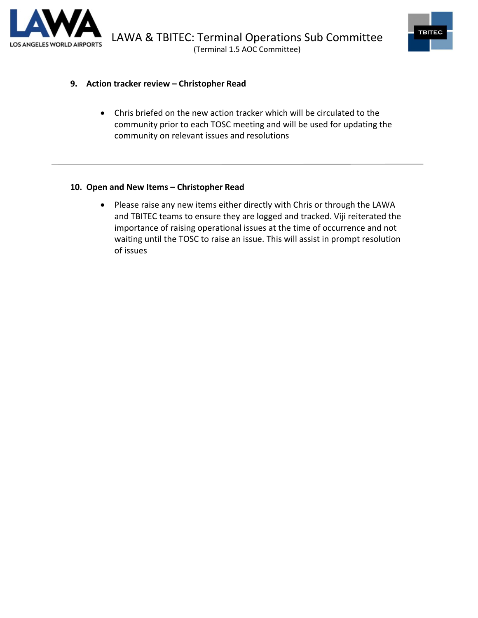



#### **9. Action tracker review – Christopher Read**

• Chris briefed on the new action tracker which will be circulated to the community prior to each TOSC meeting and will be used for updating the community on relevant issues and resolutions

### **10. Open and New Items – Christopher Read**

• Please raise any new items either directly with Chris or through the LAWA and TBITEC teams to ensure they are logged and tracked. Viji reiterated the importance of raising operational issues at the time of occurrence and not waiting until the TOSC to raise an issue. This will assist in prompt resolution of issues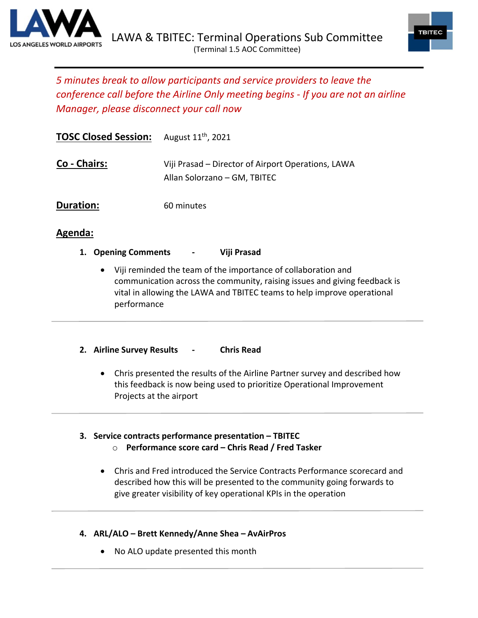



# *5 minutes break to allow participants and service providers to leave the conference call before the Airline Only meeting begins - If you are not an airline Manager, please disconnect your call now*

| <b>TOSC Closed Session:</b> August 11 <sup>th</sup> , 2021 |                                                                                    |
|------------------------------------------------------------|------------------------------------------------------------------------------------|
| Co - Chairs:                                               | Viji Prasad – Director of Airport Operations, LAWA<br>Allan Solorzano - GM, TBITEC |
| Duration:                                                  | 60 minutes                                                                         |

# **Agenda:**

- **1. Opening Comments - Viji Prasad**
	- Viji reminded the team of the importance of collaboration and communication across the community, raising issues and giving feedback is vital in allowing the LAWA and TBITEC teams to help improve operational performance
- **2. Airline Survey Results - Chris Read**
	- Chris presented the results of the Airline Partner survey and described how this feedback is now being used to prioritize Operational Improvement Projects at the airport
- **3. Service contracts performance presentation – TBITEC** o **Performance score card – Chris Read / Fred Tasker**
	- Chris and Fred introduced the Service Contracts Performance scorecard and described how this will be presented to the community going forwards to give greater visibility of key operational KPIs in the operation
- **4. ARL/ALO – Brett Kennedy/Anne Shea – AvAirPros**
	- No ALO update presented this month